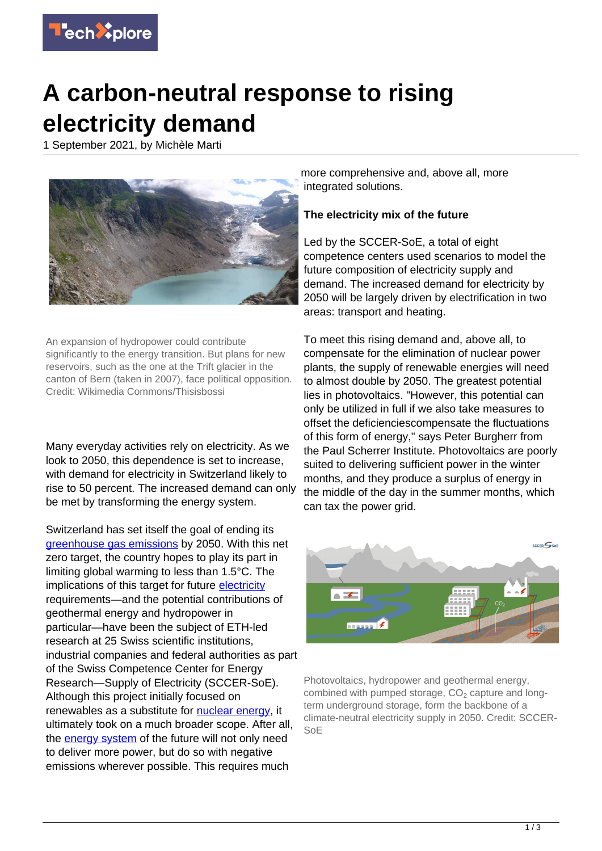

## **A carbon-neutral response to rising electricity demand**

1 September 2021, by Michèle Marti



An expansion of hydropower could contribute significantly to the energy transition. But plans for new reservoirs, such as the one at the Trift glacier in the canton of Bern (taken in 2007), face political opposition. Credit: Wikimedia Commons/Thisisbossi

Many everyday activities rely on electricity. As we look to 2050, this dependence is set to increase, with demand for electricity in Switzerland likely to rise to 50 percent. The increased demand can only be met by transforming the energy system.

Switzerland has set itself the goal of ending its [greenhouse gas emissions](https://techxplore.com/tags/greenhouse+gas+emissions/) by 2050. With this net zero target, the country hopes to play its part in limiting global warming to less than 1.5°C. The implications of this target for future [electricity](https://techxplore.com/tags/electricity/) requirements—and the potential contributions of geothermal energy and hydropower in particular—have been the subject of ETH-led research at 25 Swiss scientific institutions, industrial companies and federal authorities as part of the Swiss Competence Center for Energy Research—Supply of Electricity (SCCER-SoE). Although this project initially focused on renewables as a substitute for [nuclear energy](https://techxplore.com/tags/nuclear+energy/), it ultimately took on a much broader scope. After all, the [energy system](https://techxplore.com/tags/energy+system/) of the future will not only need to deliver more power, but do so with negative emissions wherever possible. This requires much

more comprehensive and, above all, more integrated solutions.

## **The electricity mix of the future**

Led by the SCCER-SoE, a total of eight competence centers used scenarios to model the future composition of electricity supply and demand. The increased demand for electricity by 2050 will be largely driven by electrification in two areas: transport and heating.

To meet this rising demand and, above all, to compensate for the elimination of nuclear power plants, the supply of renewable energies will need to almost double by 2050. The greatest potential lies in photovoltaics. "However, this potential can only be utilized in full if we also take measures to offset the deficienciescompensate the fluctuations of this form of energy," says Peter Burgherr from the Paul Scherrer Institute. Photovoltaics are poorly suited to delivering sufficient power in the winter months, and they produce a surplus of energy in the middle of the day in the summer months, which can tax the power grid.



Photovoltaics, hydropower and geothermal energy, combined with pumped storage,  $CO<sub>2</sub>$  capture and longterm underground storage, form the backbone of a climate-neutral electricity supply in 2050. Credit: SCCER-SoE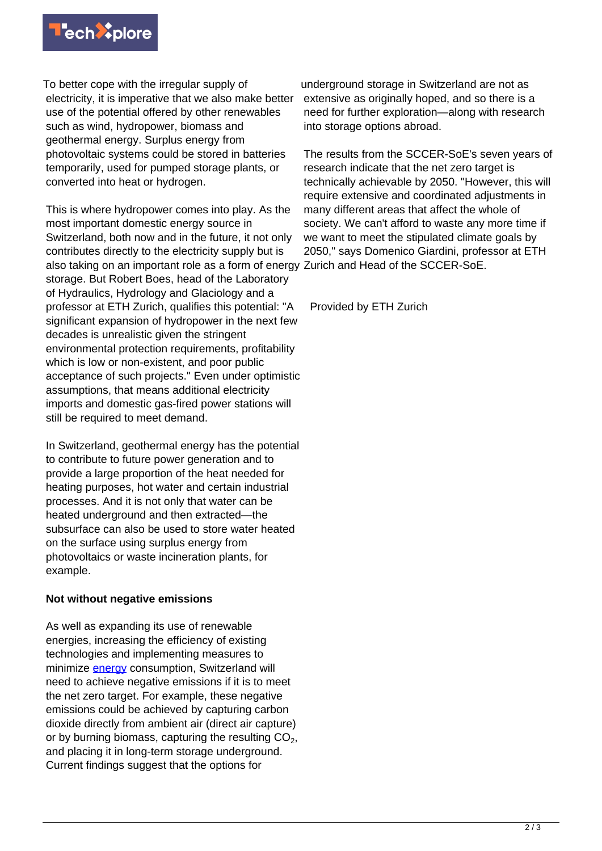

To better cope with the irregular supply of electricity, it is imperative that we also make better use of the potential offered by other renewables such as wind, hydropower, biomass and geothermal energy. Surplus energy from photovoltaic systems could be stored in batteries temporarily, used for pumped storage plants, or converted into heat or hydrogen.

This is where hydropower comes into play. As the most important domestic energy source in Switzerland, both now and in the future, it not only contributes directly to the electricity supply but is also taking on an important role as a form of energy Zurich and Head of the SCCER-SoE. storage. But Robert Boes, head of the Laboratory of Hydraulics, Hydrology and Glaciology and a professor at ETH Zurich, qualifies this potential: "A significant expansion of hydropower in the next few decades is unrealistic given the stringent environmental protection requirements, profitability which is low or non-existent, and poor public acceptance of such projects." Even under optimistic assumptions, that means additional electricity imports and domestic gas-fired power stations will still be required to meet demand.

In Switzerland, geothermal energy has the potential to contribute to future power generation and to provide a large proportion of the heat needed for heating purposes, hot water and certain industrial processes. And it is not only that water can be heated underground and then extracted—the subsurface can also be used to store water heated on the surface using surplus energy from photovoltaics or waste incineration plants, for example.

## **Not without negative emissions**

As well as expanding its use of renewable energies, increasing the efficiency of existing technologies and implementing measures to minimize **[energy](https://techxplore.com/tags/energy/)** consumption, Switzerland will need to achieve negative emissions if it is to meet the net zero target. For example, these negative emissions could be achieved by capturing carbon dioxide directly from ambient air (direct air capture) or by burning biomass, capturing the resulting CO<sub>2</sub>, and placing it in long-term storage underground. Current findings suggest that the options for

underground storage in Switzerland are not as extensive as originally hoped, and so there is a need for further exploration—along with research into storage options abroad.

The results from the SCCER-SoE's seven years of research indicate that the net zero target is technically achievable by 2050. "However, this will require extensive and coordinated adjustments in many different areas that affect the whole of society. We can't afford to waste any more time if we want to meet the stipulated climate goals by 2050," says Domenico Giardini, professor at ETH

Provided by ETH Zurich